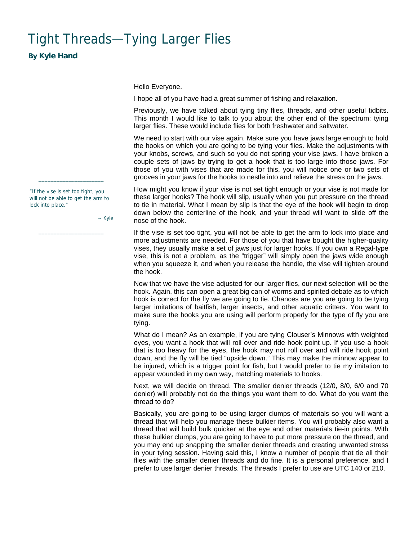## <span id="page-0-0"></span>Tight Threads—Tying Larger Flies

**By Kyle Hand**

Hello Everyone.

I hope all of you have had a great summer of fishing and relaxation.

Previously, we have talked about tying tiny flies, threads, and other useful tidbits. This month I would like to talk to you about the other end of the spectrum: tying larger flies. These would include flies for both freshwater and saltwater.

We need to start with our vise again. Make sure you have jaws large enough to hold the hooks on which you are going to be tying your flies. Make the adjustments with your knobs, screws, and such so you do not spring your vise jaws. I have broken a couple sets of jaws by trying to get a hook that is too large into those jaws. For those of you with vises that are made for this, you will notice one or two sets of grooves in your jaws for the hooks to nestle into and relieve the stress on the jaws.

How might you know if your vise is not set tight enough or your vise is not made for these larger hooks? The hook will slip, usually when you put pressure on the thread to tie in material. What I mean by slip is that the eye of the hook will begin to drop down below the centerline of the hook, and your thread will want to slide off the nose of the hook.

If the vise is set too tight, you will not be able to get the arm to lock into place and more adjustments are needed. For those of you that have bought the higher-quality vises, they usually make a set of jaws just for larger hooks. If you own a Regal-type vise, this is not a problem, as the "trigger" will simply open the jaws wide enough when you squeeze it, and when you release the handle, the vise will tighten around the hook.

Now that we have the vise adjusted for our larger flies, our next selection will be the hook. Again, this can open a great big can of worms and spirited debate as to which hook is correct for the fly we are going to tie. Chances are you are going to be tying larger imitations of baitfish, larger insects, and other aquatic critters. You want to make sure the hooks you are using will perform properly for the type of fly you are tying.

What do I mean? As an example, if you are tying Clouser's Minnows with weighted eyes, you want a hook that will roll over and ride hook point up. If you use a hook that is too heavy for the eyes, the hook may not roll over and will ride hook point down, and the fly will be tied "upside down." This may make the minnow appear to be injured, which is a trigger point for fish, but I would prefer to tie my imitation to appear wounded in my own way, matching materials to hooks.

Next, we will decide on thread. The smaller denier threads (12/0, 8/0, 6/0 and 70 denier) will probably not do the things you want them to do. What do you want the thread to do?

Basically, you are going to be using larger clumps of materials so you will want a thread that will help you manage these bulkier items. You will probably also want a thread that will build bulk quicker at the eye and other materials tie-in points. With these bulkier clumps, you are going to have to put more pressure on the thread, and you may end up snapping the smaller denier threads and creating unwanted stress in your tying session. Having said this, I know a number of people that tie all their flies with the smaller denier threads and do fine. It is a personal preference, and I prefer to use larger denier threads. The threads I prefer to use are UTC 140 or 210.

"If the vise is set too tight, you will not be able to get the arm to lock into place."

 $\_$ 

 $\_$ 

~ Kyle